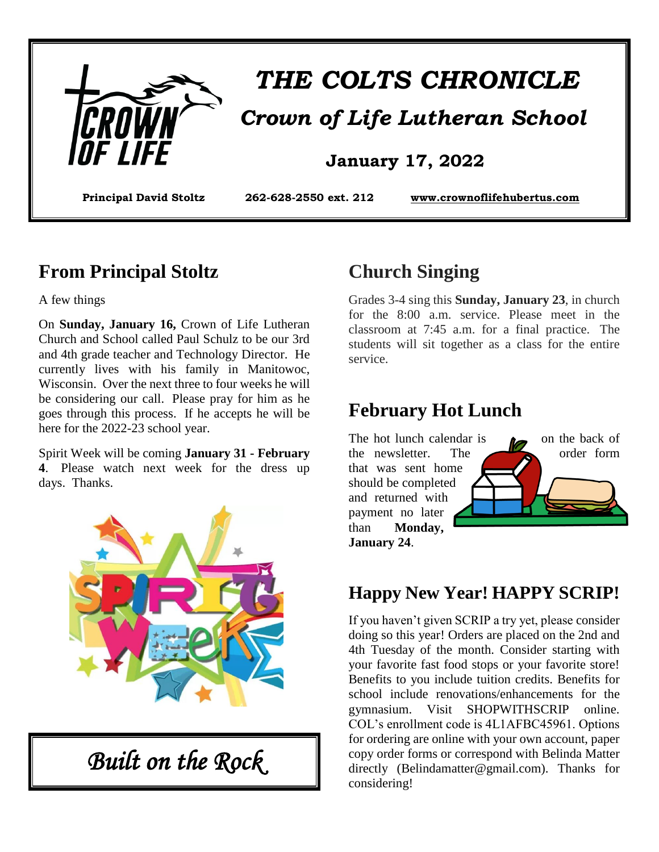

# *THE COLTS CHRONICLE Crown of Life Lutheran School*

#### **January 17, 2022**

**Principal David Stoltz 262-628-2550 ext. 212 www.crownoflifehubertus.com**

#### **From Principal Stoltz**

A few things

On **Sunday, January 16,** Crown of Life Lutheran Church and School called Paul Schulz to be our 3rd and 4th grade teacher and Technology Director. He currently lives with his family in Manitowoc, Wisconsin. Over the next three to four weeks he will be considering our call. Please pray for him as he goes through this process. If he accepts he will be here for the 2022-23 school year.

Spirit Week will be coming **January 31 - February 4**. Please watch next week for the dress up days. Thanks.



*Built on the Rock* 

# **Church Singing**

Grades 3-4 sing this **Sunday, January 23**, in church for the 8:00 a.m. service. Please meet in the classroom at 7:45 a.m. for a final practice. The students will sit together as a class for the entire service.

### **February Hot Lunch**



#### **Happy New Year! HAPPY SCRIP!**

If you haven't given SCRIP a try yet, please consider doing so this year! Orders are placed on the 2nd and 4th Tuesday of the month. Consider starting with your favorite fast food stops or your favorite store! Benefits to you include tuition credits. Benefits for school include renovations/enhancements for the gymnasium. Visit SHOPWITHSCRIP online. COL's enrollment code is 4L1AFBC45961. Options for ordering are online with your own account, paper copy order forms or correspond with Belinda Matter directly (Belindamatter@gmail.com). Thanks for considering!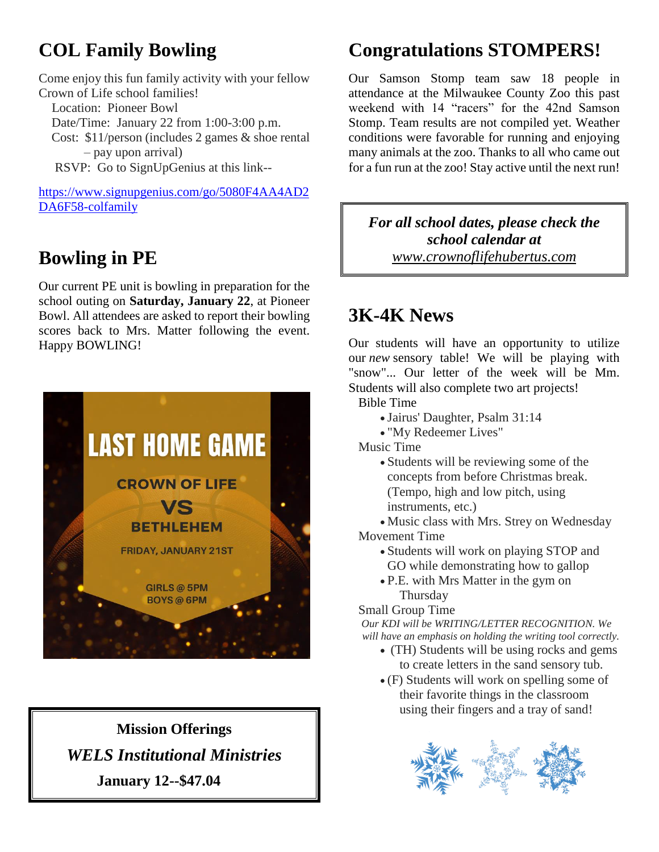# **COL Family Bowling**

Come enjoy this fun family activity with your fellow Crown of Life school families! Location: Pioneer Bowl Date/Time: January 22 from 1:00-3:00 p.m. Cost: \$11/person (includes 2 games & shoe rental – pay upon arrival) RSVP: Go to SignUpGenius at this link--

https://www.signupgenius.com/go/5080F4AA4AD2 DA6F58-colfamily

# **Bowling in PE**

Our current PE unit is bowling in preparation for the school outing on **Saturday, January 22**, at Pioneer Bowl. All attendees are asked to report their bowling scores back to Mrs. Matter following the event. Happy BOWLING!



**Mission Offerings**  *WELS Institutional Ministries* **January 12--\$47.04**

# **Congratulations STOMPERS!**

Our Samson Stomp team saw 18 people in attendance at the Milwaukee County Zoo this past weekend with 14 "racers" for the 42nd Samson Stomp. Team results are not compiled yet. Weather conditions were favorable for running and enjoying many animals at the zoo. Thanks to all who came out for a fun run at the zoo! Stay active until the next run!

*For all school dates, please check the school calendar at www.crownoflifehubertus.com*

# **3K-4K News**

Our students will have an opportunity to utilize our *new* sensory table! We will be playing with "snow"... Our letter of the week will be Mm. Students will also complete two art projects!

- Bible Time
	- Jairus' Daughter, Psalm 31:14
	- "My Redeemer Lives"
- Music Time
	- Students will be reviewing some of the concepts from before Christmas break. (Tempo, high and low pitch, using instruments, etc.)

Music class with Mrs. Strey on Wednesday

Movement Time

- Students will work on playing STOP and GO while demonstrating how to gallop
- P.E. with Mrs Matter in the gym on **Thursday**

#### Small Group Time

 *Our KDI will be WRITING/LETTER RECOGNITION. We will have an emphasis on holding the writing tool correctly.*

- (TH) Students will be using rocks and gems to create letters in the sand sensory tub.
- (F) Students will work on spelling some of their favorite things in the classroom using their fingers and a tray of sand!